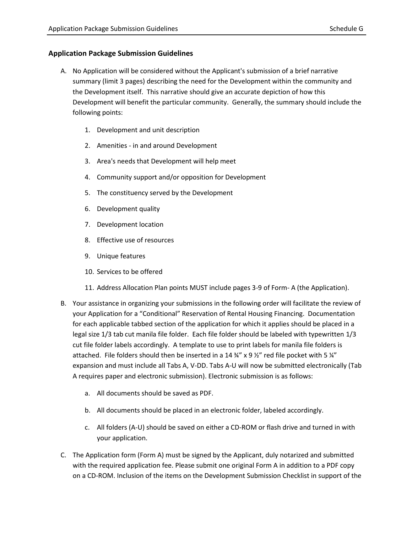## **Application Package Submission Guidelines**

- A. No Application will be considered without the Applicant's submission of a brief narrative summary (limit 3 pages) describing the need for the Development within the community and the Development itself. This narrative should give an accurate depiction of how this Development will benefit the particular community. Generally, the summary should include the following points:
	- 1. Development and unit description
	- 2. Amenities in and around Development
	- 3. Area's needs that Development will help meet
	- 4. Community support and/or opposition for Development
	- 5. The constituency served by the Development
	- 6. Development quality
	- 7. Development location
	- 8. Effective use of resources
	- 9. Unique features
	- 10. Services to be offered
	- 11. Address Allocation Plan points MUST include pages 3-9 of Form- A (the Application).
- B. Your assistance in organizing your submissions in the following order will facilitate the review of your Application for a "Conditional" Reservation of Rental Housing Financing. Documentation for each applicable tabbed section of the application for which it applies should be placed in a legal size 1/3 tab cut manila file folder. Each file folder should be labeled with typewritten 1/3 cut file folder labels accordingly. A template to use to print labels for manila file folders is attached. File folders should then be inserted in a 14  $\frac{3}{4}$  x 9  $\frac{1}{2}$  red file pocket with 5  $\frac{1}{4}$ expansion and must include all Tabs A, V-DD. Tabs A-U will now be submitted electronically (Tab A requires paper and electronic submission). Electronic submission is as follows:
	- a. All documents should be saved as PDF.
	- b. All documents should be placed in an electronic folder, labeled accordingly.
	- c. All folders (A-U) should be saved on either a CD-ROM or flash drive and turned in with your application.
- C. The Application form (Form A) must be signed by the Applicant, duly notarized and submitted with the required application fee. Please submit one original Form A in addition to a PDF copy on a CD-ROM. Inclusion of the items on the Development Submission Checklist in support of the